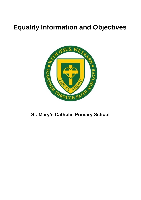# **Equality Information and Objectives**



## **St. Mary's Catholic Primary School**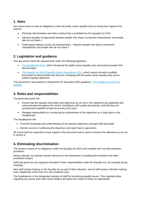#### **1. Aims**

Our school aims to meet its obligations under the public sector equality duty by having due regard to the need to:

- Eliminate discrimination and other conduct that is prohibited by the Equality Act 2010
- Advance equality of opportunity between people who share a protected characteristic and people who do not share it
- Foster good relations across all characteristics between people who share a protected characteristic and people who do not share it

#### **2. Legislation and guidance**

This document meets the requirements under the following legislation:

- [The Equality Act 2010,](http://www.legislation.gov.uk/ukpga/2010/15/contents) which introduced the public sector equality duty and protects people from discrimination
- [The Equality Act 2010 \(Specific Duties\) Regulations 2011,](http://www.legislation.gov.uk/uksi/2011/2260/contents/made) which require schools to publish information to demonstrate how they are complying with the public sector equality duty and to publish equality objectives

This document is also based on Department for Education (DfE) guidance: [The Equality Act 2010 and](https://www.gov.uk/government/uploads/system/uploads/attachment_data/file/315587/Equality_Act_Advice_Final.pdf)  [schools.](https://www.gov.uk/government/uploads/system/uploads/attachment_data/file/315587/Equality_Act_Advice_Final.pdf) 

#### **3. Roles and responsibilities**

The governing board will:

- Ensure that the equality information and objectives as set out in this statement are published and communicated throughout the school, including to staff, pupils and parents, and that they are reviewed and updated at least once every four years
- Delegate responsibility for monitoring the achievement of the objectives on a daily basis to the Headteacher

The Headteacher will:

- Promote knowledge and understanding of the equality objectives amongst staff and pupils
- Monitor success in achieving the objectives and report back to governors

All school staff are expected to have regard to this document and to work to achieve the objectives as set out in section 8.

### **4. Eliminating discrimination**

The school is aware of its obligations under the Equality Act 2010 and complies with non-discrimination provisions.

Where relevant, our policies include reference to the importance of avoiding discrimination and other prohibited conduct.

Staff and governors are regularly reminded of their responsibilities under the Equality Act, for example during meetings.

New staff receive training on the Equality Act as part of their induction, and all staff receive refresher training every September at the start of a new academic year.

The Headteacher is the designated member of staff for monitoring equality issues. They regularly liaise regarding any issues and make senior leaders and governors aware of these as appropriate.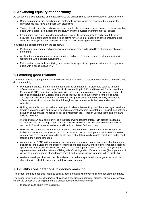## **5. Advancing equality of opportunity**

As set out in the DfE guidance on the Equality Act, the school aims to advance equality of opportunity by:

- Removing or minimising disadvantages suffered by people which are connected to a particular characteristic they have e.g. pupils with disabilities.
- Taking steps to meet the particular needs of people who have a particular characteristic e.g. enabling pupils with a disability to access the curriculum and the physical environment of our school.
- Encouraging and enabling children who have a particular characteristic to participate fully in any activities (e.g. encouraging all pupils to be actively involved in all aspects of school including extracurricular clubs, playground activities and out of school learning opportunities.

In fulfilling this aspect of the duty, the school will:

- Publish attainment data each academic year showing how pupils with different characteristics are performing.
- Analyse the above data to determine strengths and areas for improvement (implement actions in response to whole school evaluations).
- Make evidence available identifying improvements for specific groups (e.g. evidence of progress for pupils with a specific disability).

## **6. Fostering good relations**

The school aims to foster good relations between those who share a protected characteristic and those who do not share it by:

- Promoting tolerance, friendship and understanding of a range of religions and cultures through different aspects of our curriculum. This includes teaching in R.E., and Personal, Social, Health and Economic (PSHE) education, but also activities in other curriculum areas. For example, as part of teaching and learning in English, pupils will be introduced to literature from a range of cultures. Through our annual One World Week celebrations, pupils are given the opportunity to celebrate different cultures from around the World through cross-curricular activities, assemblies and workshops.
- Holding assemblies and workshops dealing with relevant issues. Pupils will be encouraged to take a lead in such assemblies and we will also invite external speakers to contribute. This includes activities as a part of our annual Friendship Week and visits from the Hillingdon Life Bus (both exploring antibullying messages).
- Working with our local community. This includes inviting leaders of local faith groups to speak at assemblies, and organising school trips and activities based around the local community. This links with our R.E. work whereby each class will study a different faith each year.
- We work with parents to promote knowledge and understanding of different cultures. Parents are invited into our school, as a part of our Curriculum afternoon, to participate in our One World Week celebrations. They are encouraged to talk to pupils about their families customs/cultures and to read stories in their home language.
- As a part of our SEND coffee mornings, we invite guest speakers into school to talk about a range of disabilities (and SENs) offering support to families but also an awareness of different needs. Recent speakers have included the Hillingdon Autistic Care and Support team, a talk from UCL (BiLingo) representatives on the importance of Bilingualism/Multilingualism, Dr Natalie Moss (the importance of visuals to support a range of needs) and Parent Partnership (support for pupils with a disability).
- We have developed links with people and groups who have specialist knowledge about particular characteristics, which helps inform and develop our approach.

#### **7. Equality considerations in decision-making**

The school ensures it has due regard to equality considerations whenever significant decisions are made.

The school always considers the impact of significant decisions on particular groups. For example, when a school trip or activity is being planned, the school considers whether the trip:

• Is accessible to pupils with disabilities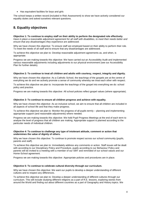• Has equivalent facilities for boys and girls

The school keeps a written record (included in Risk Assessment) to show we have actively considered our equality duties and asked ourselves relevant questions.

## **8. Equality objectives**

**Objective 1: To continue to employ staff on their ability to perform the designated role effectively.**  *Have in place a reasonable adjustment agreement for all staff with disabilities, to meet their needs better and ensure that any disadvantages they experience are addressed.*

Why we have chosen this objective: To ensure staff are employed based on their ability to perform their role. To meet the needs of all staff and to ensure that any disadvantages are addressed.

To achieve this objective we plan to: Develop reasonable adjustment agreements as, and when, is appropriate.

Progress we are making towards this objective: We have carried out an Accessibility Audit and implemented various reasonable adjustments including adjustments to our physical environment (see our Accessibility Plan for further details).

#### **Objective 2: To continue to treat all children and adults with courtesy, respect, integrity and dignity.**

Why we have chosen this objective: As a Catholic School, the teachings of the gospels are at the centre of everything we do and we actively promote a sense of community whereby we treat each other with respect.

To achieve this objective we plan to: Incorporate the teachings of the gospel into everything we do: school policy and practice.

Progress we are making towards this objective: All school policies reflect gospel values (where appropriate).

#### *Objective 3:* **To continue to ensure all children progress and achieve with equality.**

Why we have chosen this objective: As an inclusive school, we aim to ensure that all children are included in all aspects of school life and that they make progress.

To achieve this objective we plan to: Monitor the progress of all pupils termly – planning and implementing appropriate support (and reasonable adjustments) where needed.

Progress we are making towards this objective: We hold Pupil Progress Meetings at the end of each term to analyse the level of progress that all children are making. Appropriate support is planned according to the particular needs of individual children.

#### *Objective 4:* **To continue to challenge any type of intolerant attitude, comment or action that undermines the value of dignity of others.**

Why we have chosen this objective: To continue to promote respect across our school community (pupils, parents and staff).

To achieve this objective we plan to: Immediately address any comments or action. Staff issues will be dealt with according to our Disciplinary Policy and Procedure, pupils according to our Behaviour Policy and parents will be invited to a meeting with a member of our SMT and reminded of our school values and our Home-School agreement.

Progress we are making towards this objective: Appropriate policies and procedures are in place.

#### **Objective 5: To continue to celebrate cultural diversity through our curriculum.**

Why we have chosen this objective: We want our pupils to develop a deeper understanding of different cultures and to respect any differences.

To achieve this objective we plan to: Develop a deeper understanding of different cultures through our curriculum. This will include studying different religions as a part of R.E. lessons, exploring stories from around the World and finding out about different countries as a part of Geography and History topics. We